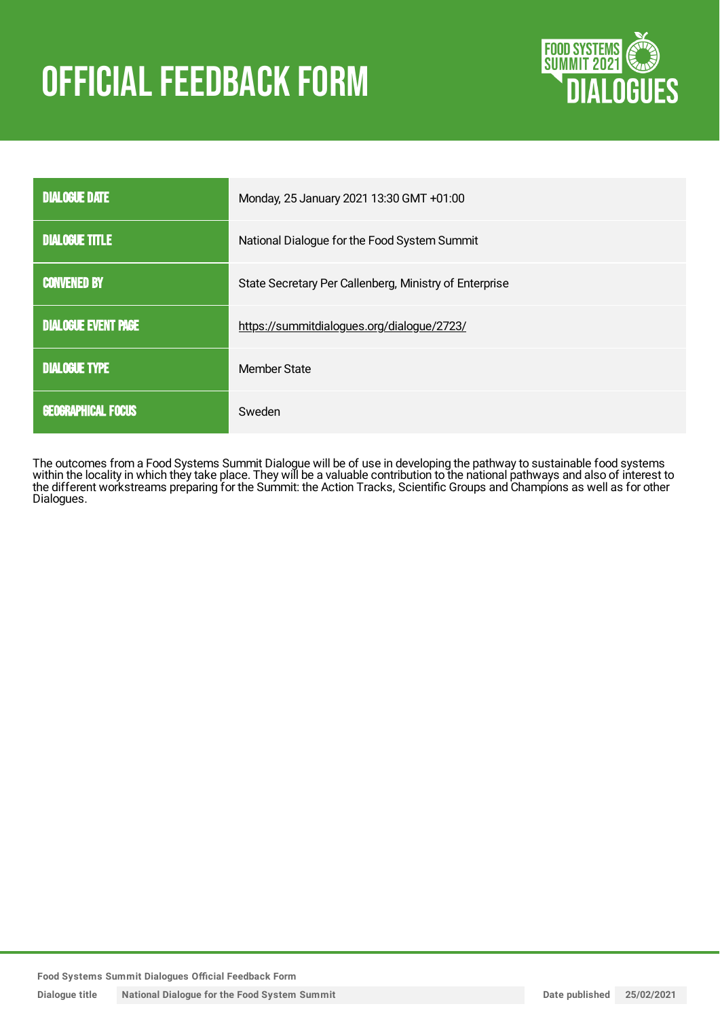# **OFFICIAL FEEDBACK FORM**



| <b>DIALOGUE DATE</b>       | Monday, 25 January 2021 13:30 GMT +01:00               |
|----------------------------|--------------------------------------------------------|
| <b>DIALOGUE TITLE</b>      | National Dialogue for the Food System Summit           |
| <b>CONVENED BY</b>         | State Secretary Per Callenberg, Ministry of Enterprise |
| <b>DIALOGUE EVENT PAGE</b> | https://summitdialogues.org/dialogue/2723/             |
| <b>DIALOGUE TYPE</b>       | <b>Member State</b>                                    |
| <b>GEOGRAPHICAL FOCUS</b>  | Sweden                                                 |

The outcomes from a Food Systems Summit Dialogue will be of use in developing the pathway to sustainable food systems within the locality in which they take place. They will be a valuable contribution to the national pathways and also of interest to the different workstreams preparing for the Summit: the Action Tracks, Scientific Groups and Champions as well as for other Dialogues.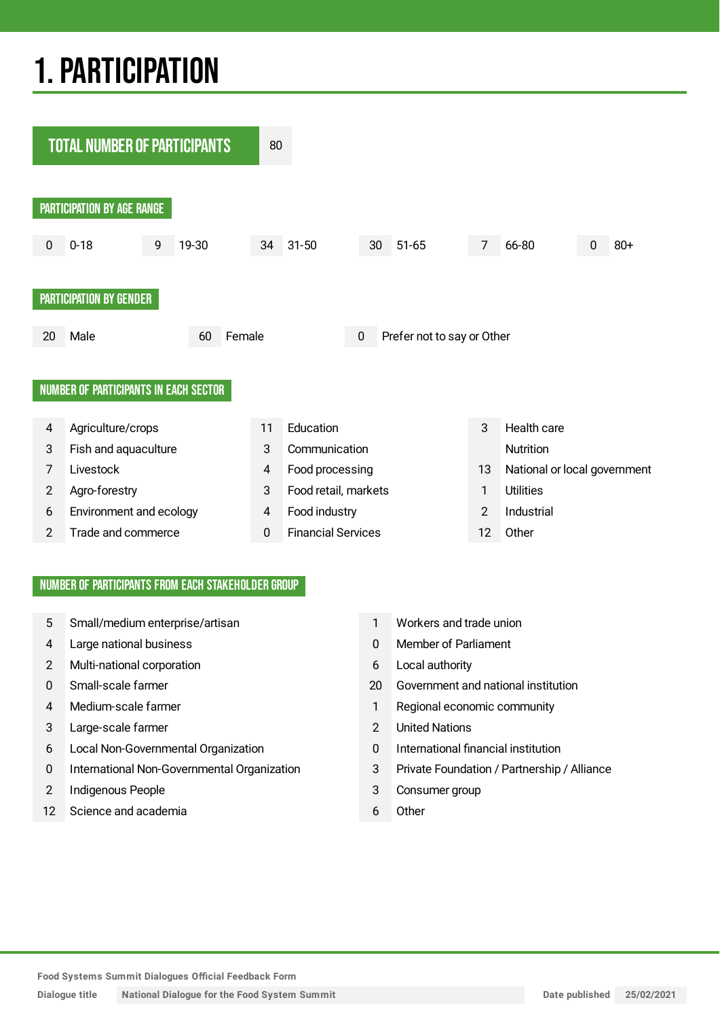## 1.PARTICIPATION



#### NUMBER OF PARTICIPANTS FROM EACH STAKEHOLDER GROUP

- 5 Small/medium enterprise/artisan 1 Workers and trade union
- 4 Large national business 0 Member of Parliament
- 2 Multi-national corporation 6 Local authority
- 
- 
- 3 Large-scale farmer 2 United Nations
- 6 Local Non-Governmental Organization 0 International financial institution
- 0 International Non-Governmental Organization 3 Private Foundation / Partnership / Alliance
- 2 Indigenous People 3 Consumer group
- 12 Science and academia 6 Other
- 
- 
- 
- 0 Small-scale farmer 20 Government and national institution
- 4 Medium-scale farmer 1 Regional economic community
	-
	-
	-
	-
	-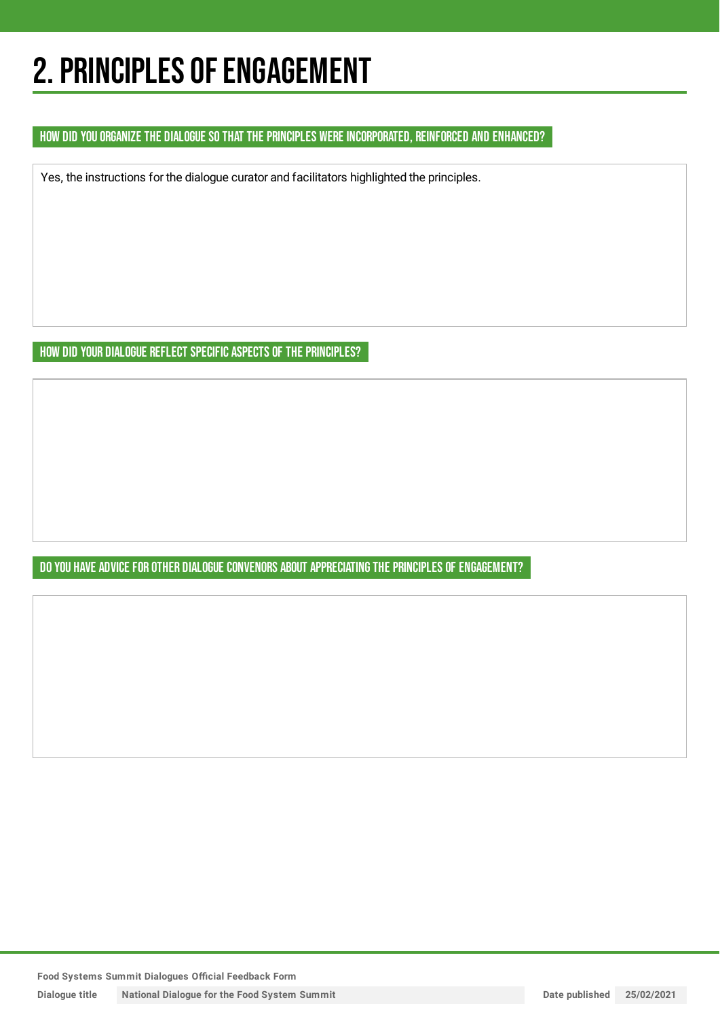## 2. PRINCIPLES OF ENGAGEMENT

HOW DID YOU ORGANIZE THE DIALOGUE SO THAT THE PRINCIPLES WERE INCORPORATED, REINFORCED AND ENHANCED?

Yes, the instructions for the dialogue curator and facilitators highlighted the principles.

HOW DID YOUR DIALOGUE REFLECT SPECIFIC ASPECTS OF THE PRINCIPLES?

DO YOU HAVE ADVICE FOR OTHER DIALOGUE CONVENORS ABOUT APPRECIATING THE PRINCIPLES OF ENGAGEMENT?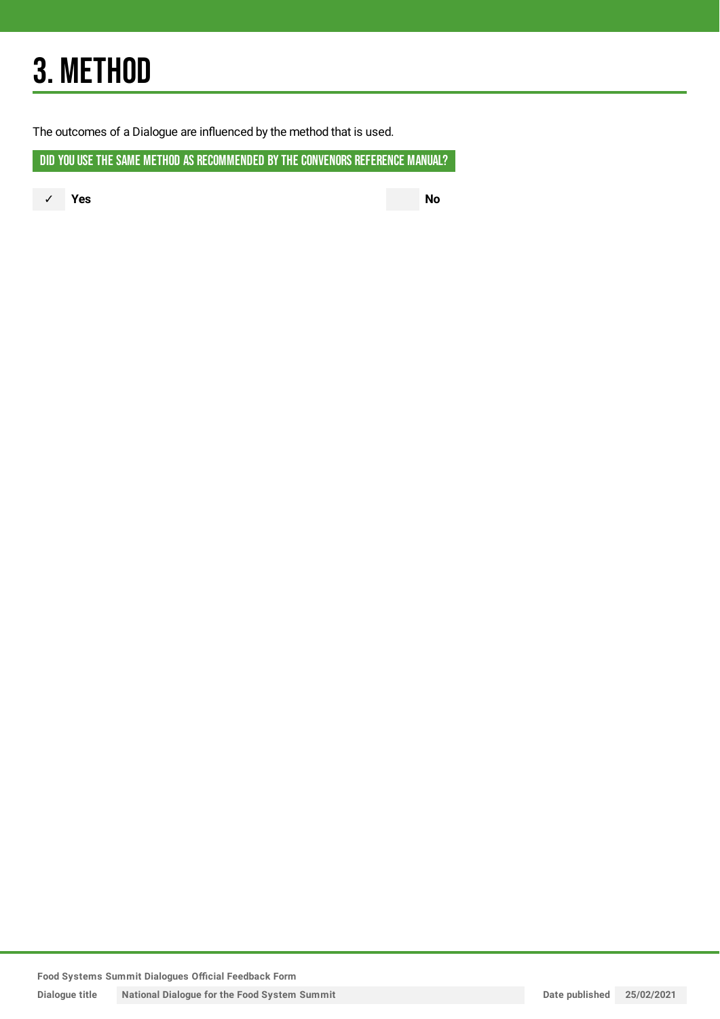## 3. METHOD

The outcomes of a Dialogue are influenced by the method that is used.

DID YOU USE THE SAME METHOD AS RECOMMENDED BY THE CONVENORS REFERENCE MANUAL?

✓ **Yes No**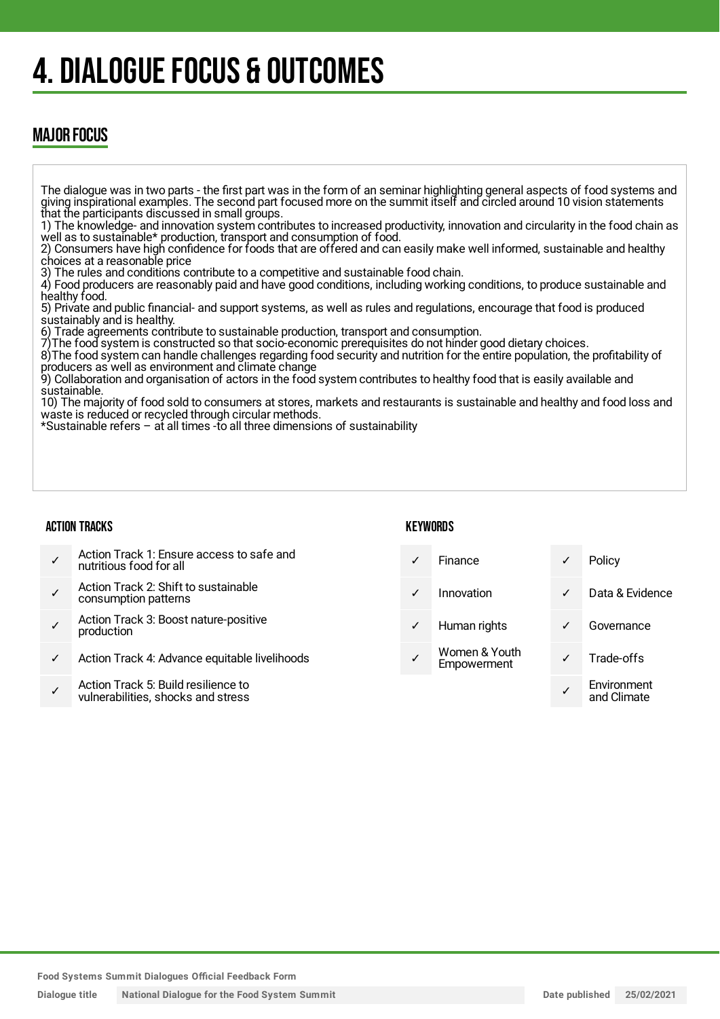## 4. DIALOGUE FOCUS & OUTCOMES

### MAJOR FOCUS

The dialogue was in two parts - the first part was in the form of an seminar highlighting general aspects of food systems and giving inspirational examples. The second part focused more on the summit itself and circled around 10 vision statements that the participants discussed in small groups.

1) The knowledge- and innovation system contributes to increased productivity, innovation and circularity in the food chain as well as to sustainable\* production, transport and consumption of food.

2) Consumers have high confidence for foods that are offered and can easily make well informed, sustainable and healthy choices at a reasonable price

3) The rules and conditions contribute to a competitive and sustainable food chain.

4) Food producers are reasonably paid and have good conditions, including working conditions, to produce sustainable and healthy food.

5) Private and public financial- and support systems, as well as rules and regulations, encourage that food is produced sustainably and is healthy.

6) Trade agreements contribute to sustainable production, transport and consumption.

7)The food system is constructed so that socio-economic prerequisites do not hinder good dietary choices.

8)The food system can handle challenges regarding food security and nutrition for the entire population, the profitability of producers as well as environment and climate change

9) Collaboration and organisation of actors in the food system contributes to healthy food that is easily available and sustainable.

10) The majority of food sold to consumers at stores, markets and restaurants is sustainable and healthy and food loss and waste is reduced or recycled through circular methods.

\*Sustainable refers – at all times -to all three dimensions of sustainability

Action Track 1: Ensure access to safe and

Action Track 2: Shift to sustainable

Action Track 3: Boost nature-positive

✓ Action Track 4: Advance equitable livelihoods

Action Track 5: Build resilience to vulnerabilities, shocks and stress

nutritious food for all

consumption patterns

production

#### ACTION TRACKS

✓

✓

✓

✓

#### **KFYWORDS**

|   | Finance                      |   | Policy                     |
|---|------------------------------|---|----------------------------|
|   | Innovation                   | ✓ | Data & Evidence            |
| ✓ | Human rights                 |   | Governance                 |
|   | Women & Youth<br>Empowerment |   | Trade-offs                 |
|   |                              |   | Environment<br>and Climate |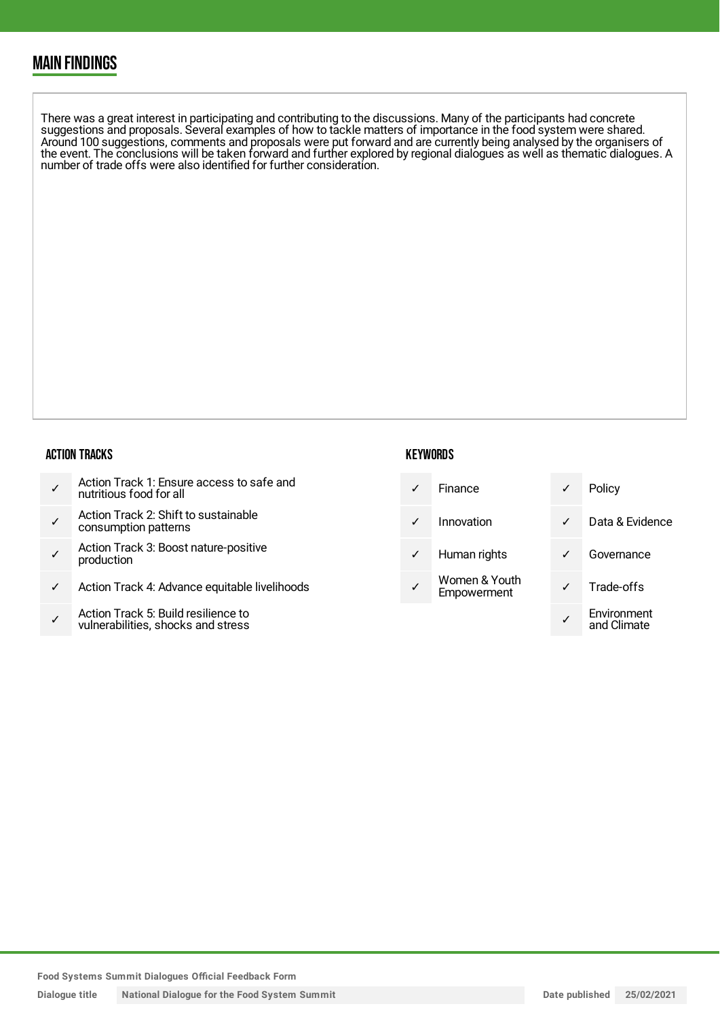### MAIN FINDINGS

There was a great interest in participating and contributing to the discussions. Many of the participants had concrete suggestions and proposals. Several examples of how to tackle matters of importance in the food system were shared. Around 100 suggestions, comments and proposals were put forward and are currently being analysed by the organisers of the event. The conclusions will be taken forward and further explored by regional dialogues as well as thematic dialogues. A number of trade offs were also identified for further consideration.

#### ACTION TRACKS

|  | Action Track 1: Ensure access to safe and<br>nutritious food for all |
|--|----------------------------------------------------------------------|
|--|----------------------------------------------------------------------|

- ✓ Action Track 2: Shift to sustainable consumption patterns
- ✓ Action Track 3: Boost nature-positive production
- Action Track 4: Advance equitable livelihoods
- ✓ Action Track 5: Build resilience to vulnerabilities, shocks and stress

#### **KEYWORDS**

| $\checkmark$ | Finance      |              | Policy          |
|--------------|--------------|--------------|-----------------|
| $\checkmark$ | Innovation   | $\checkmark$ | Data & Evidence |
| $\checkmark$ | Human rights |              | Governance      |

Women & Youth Empowerment

| Policy                     |
|----------------------------|
| Data & Evidence            |
| Governance                 |
| Trade-offs                 |
| Environment<br>and Climate |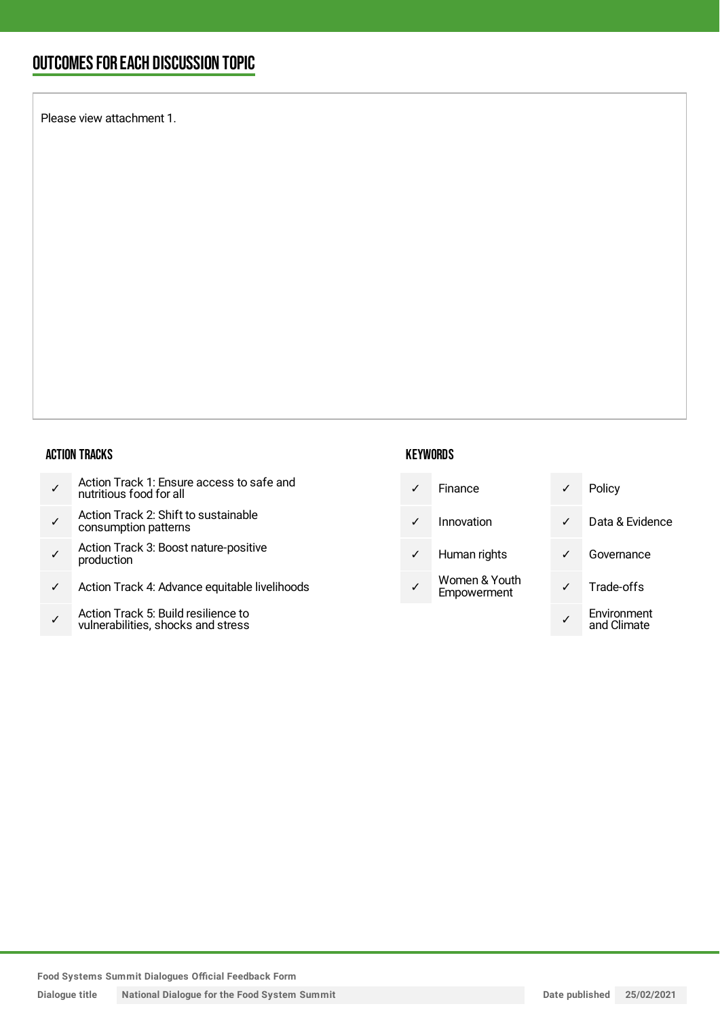### OUTCOMESFOR EACH DISCUSSION TOPIC

Please view attachment 1.

#### ACTION TRACKS

- ✓ Action Track 2: Shift to sustainable consumption patterns
- ✓ Action Track 3: Boost nature-positive production
- ✓ Action Track 4: Advance equitable livelihoods
- ✓ Action Track 5: Build resilience to vulnerabilities, shocks and stress

#### **KEYWORDS**

| Finance    |
|------------|
| Innovation |

- ✓ Human rights ✓ Governance
- Women & Youth Empowerment

|              | Finance                      |   | Policy                     |
|--------------|------------------------------|---|----------------------------|
| ✓            | Innovation                   | ✓ | Data & Evidence            |
| $\checkmark$ | Human rights                 |   | Governance                 |
|              | Women & Youth<br>Empowerment |   | Trade-offs                 |
|              |                              |   | Environment<br>and Climate |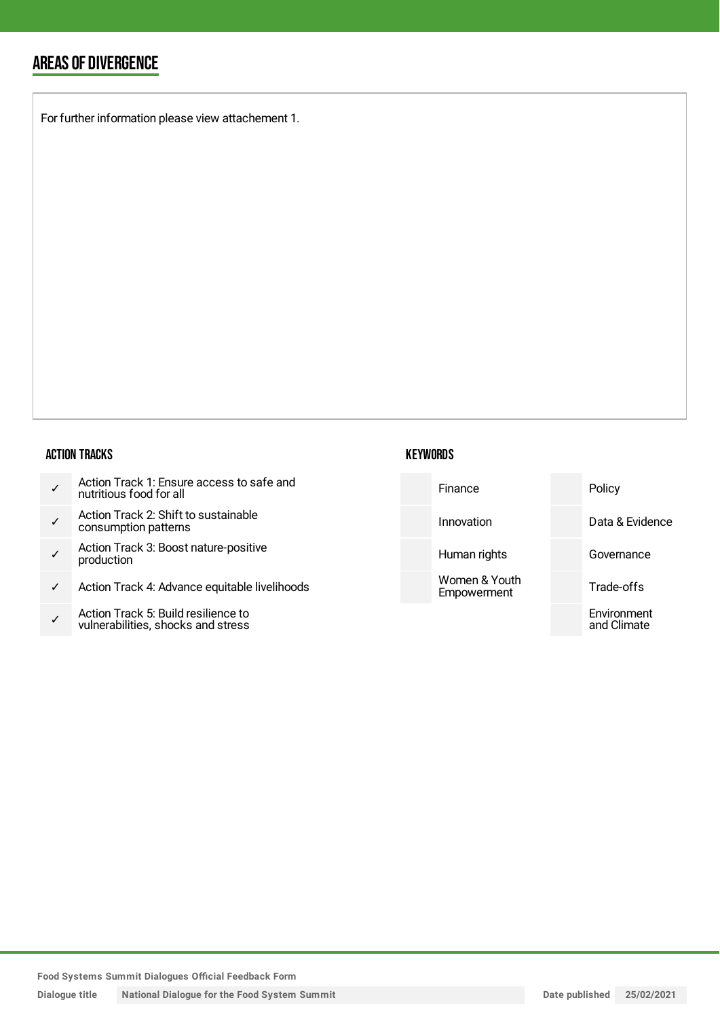### AREAS OF DIVERGENCE

For further information please view attachement 1.

#### ACTION TRACKS

|  | Action Track 1: Ensure access to safe and<br>nutritious food for all |
|--|----------------------------------------------------------------------|
|--|----------------------------------------------------------------------|

- ✓ Action Track 2: Shift to sustaina consumption patterns
- ✓ Action Track 3: Boost nature-po production
- $\checkmark$  Action Track 4: Advance equital
- ✓ Action Track 5: Build resilience to vulnerabilities, shocks and stress

#### **KEYWORDS**

| to safe and     | Finance                      | Policy                     |
|-----------------|------------------------------|----------------------------|
| able            | Innovation                   | Data & Evidence            |
| sitive          | Human rights                 | Governance                 |
| ble livelihoods | Women & Youth<br>Empowerment | Trade-offs                 |
| to<br>SS        |                              | Environment<br>and Climate |